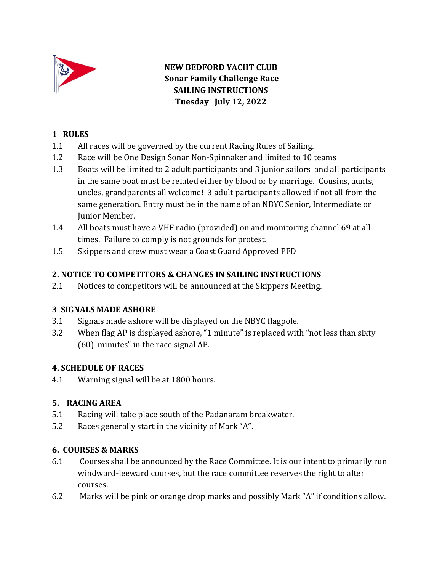

**NEW BEDFORD YACHT CLUB Sonar Family Challenge Race SAILING INSTRUCTIONS Tuesday July 12, 2022**

## **1 RULES**

- 1.1 All races will be governed by the current Racing Rules of Sailing.
- 1.2 Race will be One Design Sonar Non-Spinnaker and limited to 10 teams
- 1.3 Boats will be limited to 2 adult participants and 3 junior sailors and all participants in the same boat must be related either by blood or by marriage. Cousins, aunts, uncles, grandparents all welcome! 3 adult participants allowed if not all from the same generation. Entry must be in the name of an NBYC Senior, Intermediate or Junior Member.
- 1.4 All boats must have a VHF radio (provided) on and monitoring channel 69 at all times. Failure to comply is not grounds for protest.
- 1.5 Skippers and crew must wear a Coast Guard Approved PFD

## **2. NOTICE TO COMPETITORS & CHANGES IN SAILING INSTRUCTIONS**

2.1 Notices to competitors will be announced at the Skippers Meeting.

## **3 SIGNALS MADE ASHORE**

- 3.1 Signals made ashore will be displayed on the NBYC flagpole.
- 3.2 When flag AP is displayed ashore, "1 minute" is replaced with "not less than sixty (60) minutes" in the race signal AP.

## **4. SCHEDULE OF RACES**

4.1 Warning signal will be at 1800 hours.

## **5. RACING AREA**

- 5.1 Racing will take place south of the Padanaram breakwater.
- 5.2 Races generally start in the vicinity of Mark "A".

#### **6. COURSES & MARKS**

- 6.1 Courses shall be announced by the Race Committee. It is our intent to primarily run windward-leeward courses, but the race committee reserves the right to alter courses.
- 6.2 Marks will be pink or orange drop marks and possibly Mark "A" if conditions allow.